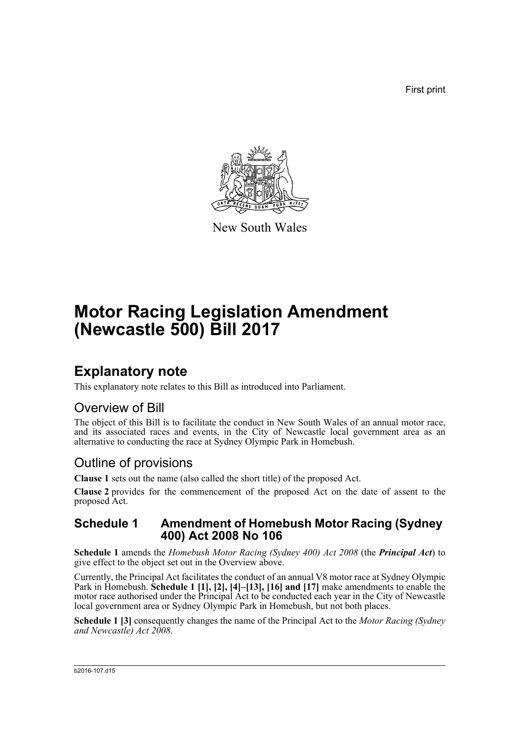First print



New South Wales

# **Motor Racing Legislation Amendment (Newcastle 500) Bill 2017**

## **Explanatory note**

This explanatory note relates to this Bill as introduced into Parliament.

### Overview of Bill

The object of this Bill is to facilitate the conduct in New South Wales of an annual motor race, and its associated races and events, in the City of Newcastle local government area as an alternative to conducting the race at Sydney Olympic Park in Homebush.

## Outline of provisions

**Clause 1** sets out the name (also called the short title) of the proposed Act.

**Clause 2** provides for the commencement of the proposed Act on the date of assent to the proposed Act.

### **Schedule 1 Amendment of Homebush Motor Racing (Sydney 400) Act 2008 No 106**

**Schedule 1** amends the *Homebush Motor Racing (Sydney 400) Act 2008* (the *Principal Act*) to give effect to the object set out in the Overview above.

Currently, the Principal Act facilitates the conduct of an annual V8 motor race at Sydney Olympic Park in Homebush. **Schedule 1** [1], [2], [4]-[13], [16] and [17] make amendments to enable the motor race authorised under the Principal Act to be conducted each year in the City of Newcastle local government area or Sydney Olympic Park in Homebush, but not both places.

**Schedule 1 [3]** consequently changes the name of the Principal Act to the *Motor Racing (Sydney and Newcastle) Act 2008*.

#### b2016-107.d15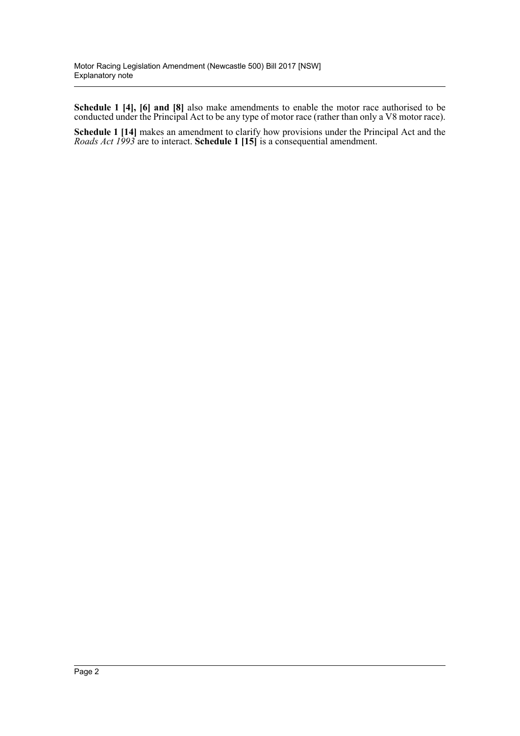**Schedule 1 [4], [6] and [8]** also make amendments to enable the motor race authorised to be conducted under the Principal Act to be any type of motor race (rather than only a V8 motor race).

**Schedule 1 [14]** makes an amendment to clarify how provisions under the Principal Act and the *Roads Act 1993* are to interact. **Schedule 1 [15]** is a consequential amendment.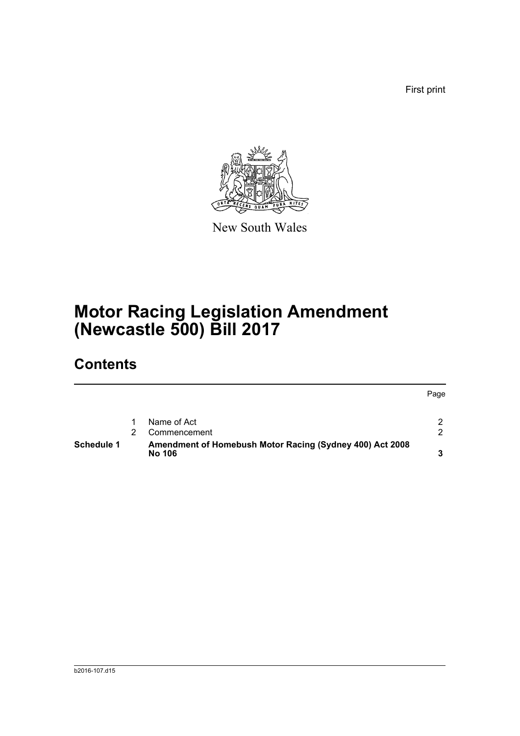First print



New South Wales

# **Motor Racing Legislation Amendment (Newcastle 500) Bill 2017**

## **Contents**

|            |                                                                           | Page          |
|------------|---------------------------------------------------------------------------|---------------|
|            | Name of Act                                                               | $\mathcal{P}$ |
|            | Commencement                                                              | $\mathcal{P}$ |
| Schedule 1 | Amendment of Homebush Motor Racing (Sydney 400) Act 2008<br><b>No 106</b> | 3             |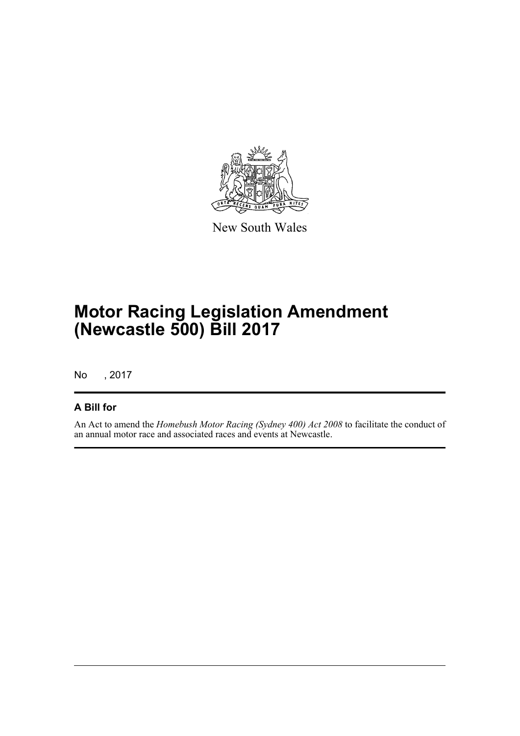

New South Wales

# **Motor Racing Legislation Amendment (Newcastle 500) Bill 2017**

No , 2017

### **A Bill for**

An Act to amend the *Homebush Motor Racing (Sydney 400) Act 2008* to facilitate the conduct of an annual motor race and associated races and events at Newcastle.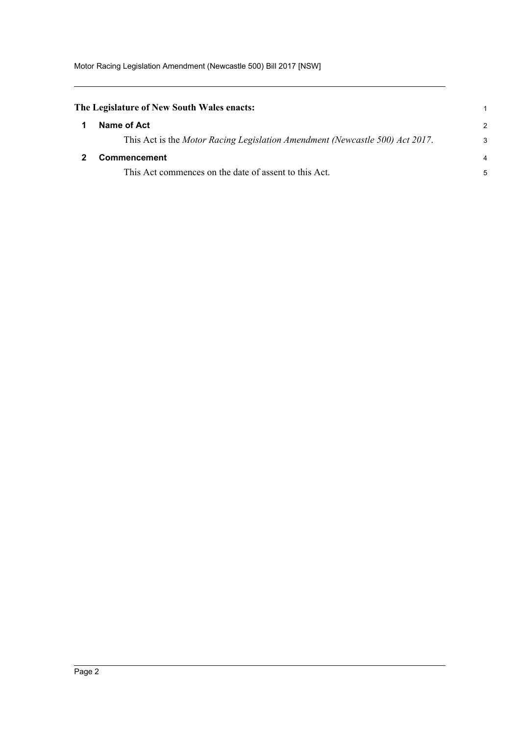<span id="page-4-1"></span><span id="page-4-0"></span>

| The Legislature of New South Wales enacts:                                   |                |
|------------------------------------------------------------------------------|----------------|
| Name of Act                                                                  | $\mathcal{P}$  |
| This Act is the Motor Racing Legislation Amendment (Newcastle 500) Act 2017. | 3              |
| Commencement                                                                 | $\overline{4}$ |
| This Act commences on the date of assent to this Act.                        | 5              |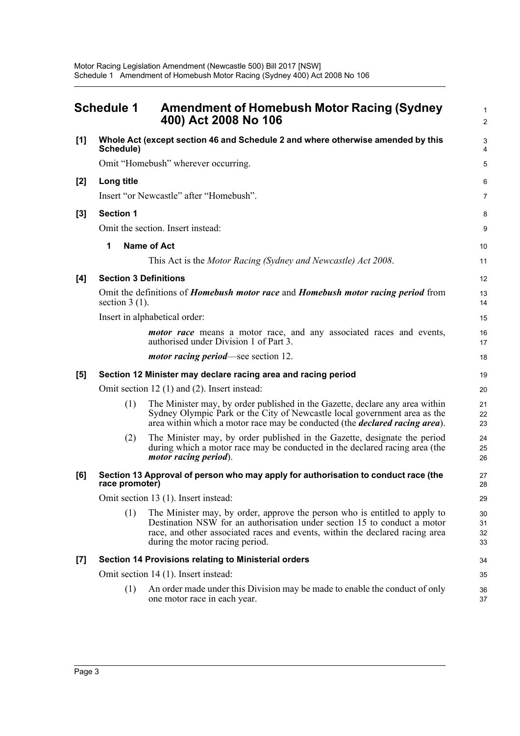<span id="page-5-0"></span>

|       | <b>Schedule 1</b>                                                                                                   | <b>Amendment of Homebush Motor Racing (Sydney</b><br>400) Act 2008 No 106                                                                                                                                                                                                 | $\mathbf{1}$<br>$\overline{2}$ |  |  |
|-------|---------------------------------------------------------------------------------------------------------------------|---------------------------------------------------------------------------------------------------------------------------------------------------------------------------------------------------------------------------------------------------------------------------|--------------------------------|--|--|
| [1]   | Whole Act (except section 46 and Schedule 2 and where otherwise amended by this<br>Schedule)                        |                                                                                                                                                                                                                                                                           |                                |  |  |
|       | Omit "Homebush" wherever occurring.                                                                                 |                                                                                                                                                                                                                                                                           |                                |  |  |
| $[2]$ | Long title                                                                                                          |                                                                                                                                                                                                                                                                           |                                |  |  |
|       |                                                                                                                     | Insert "or Newcastle" after "Homebush".                                                                                                                                                                                                                                   | 7                              |  |  |
| $[3]$ | <b>Section 1</b>                                                                                                    |                                                                                                                                                                                                                                                                           | 8                              |  |  |
|       |                                                                                                                     | Omit the section. Insert instead:                                                                                                                                                                                                                                         | 9                              |  |  |
|       | 1                                                                                                                   | <b>Name of Act</b>                                                                                                                                                                                                                                                        | 10                             |  |  |
|       |                                                                                                                     | This Act is the Motor Racing (Sydney and Newcastle) Act 2008.                                                                                                                                                                                                             | 11                             |  |  |
| [4]   | <b>Section 3 Definitions</b>                                                                                        |                                                                                                                                                                                                                                                                           |                                |  |  |
|       | Omit the definitions of <i>Homebush motor race</i> and <i>Homebush motor racing period</i> from<br>section $3(1)$ . |                                                                                                                                                                                                                                                                           |                                |  |  |
|       | Insert in alphabetical order:                                                                                       |                                                                                                                                                                                                                                                                           |                                |  |  |
|       |                                                                                                                     | <i>motor race</i> means a motor race, and any associated races and events,<br>authorised under Division 1 of Part 3.                                                                                                                                                      | 16<br>17                       |  |  |
|       |                                                                                                                     | <i>motor racing period</i> —see section 12.                                                                                                                                                                                                                               | 18                             |  |  |
| [5]   | Section 12 Minister may declare racing area and racing period                                                       |                                                                                                                                                                                                                                                                           |                                |  |  |
|       |                                                                                                                     | Omit section 12 $(1)$ and $(2)$ . Insert instead:                                                                                                                                                                                                                         | 20                             |  |  |
|       | (1)                                                                                                                 | The Minister may, by order published in the Gazette, declare any area within<br>Sydney Olympic Park or the City of Newcastle local government area as the<br>area within which a motor race may be conducted (the <i>declared racing area</i> ).                          | 21<br>22<br>23                 |  |  |
|       | (2)                                                                                                                 | The Minister may, by order published in the Gazette, designate the period<br>during which a motor race may be conducted in the declared racing area (the<br>motor racing period).                                                                                         | 24<br>25<br>26                 |  |  |
| [6]   | Section 13 Approval of person who may apply for authorisation to conduct race (the<br>race promoter)                |                                                                                                                                                                                                                                                                           |                                |  |  |
|       | Omit section 13 (1). Insert instead:                                                                                |                                                                                                                                                                                                                                                                           |                                |  |  |
|       | (1)                                                                                                                 | The Minister may, by order, approve the person who is entitled to apply to<br>Destination NSW for an authorisation under section 15 to conduct a motor<br>race, and other associated races and events, within the declared racing area<br>during the motor racing period. | 30<br>31<br>32<br>33           |  |  |
| $[7]$ | Section 14 Provisions relating to Ministerial orders                                                                |                                                                                                                                                                                                                                                                           |                                |  |  |
|       | Omit section 14 (1). Insert instead:                                                                                |                                                                                                                                                                                                                                                                           |                                |  |  |
|       | (1)                                                                                                                 | An order made under this Division may be made to enable the conduct of only<br>one motor race in each year.                                                                                                                                                               | 36<br>37                       |  |  |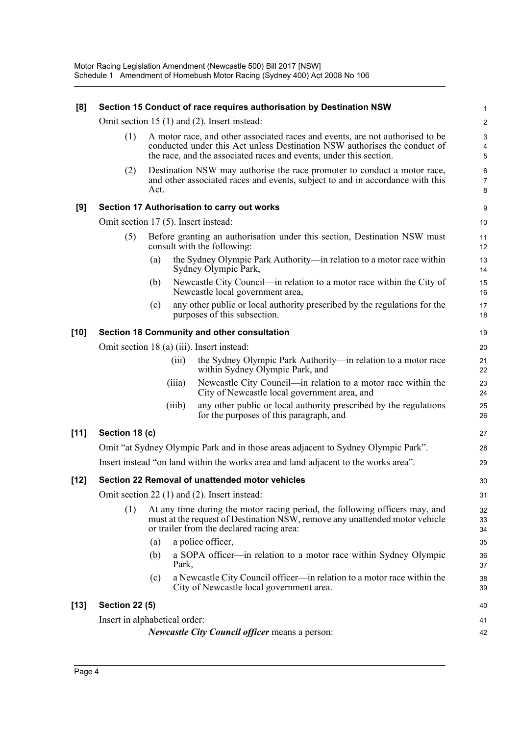| [8]    | Section 15 Conduct of race requires authorisation by Destination NSW                |                                                                                                                                                                                                                                  |        |                                                                                                                                                                                                         |                          |  |
|--------|-------------------------------------------------------------------------------------|----------------------------------------------------------------------------------------------------------------------------------------------------------------------------------------------------------------------------------|--------|---------------------------------------------------------------------------------------------------------------------------------------------------------------------------------------------------------|--------------------------|--|
|        | Omit section 15 (1) and (2). Insert instead:                                        |                                                                                                                                                                                                                                  |        |                                                                                                                                                                                                         |                          |  |
|        | (1)                                                                                 | A motor race, and other associated races and events, are not authorised to be<br>conducted under this Act unless Destination NSW authorises the conduct of<br>the race, and the associated races and events, under this section. |        |                                                                                                                                                                                                         |                          |  |
|        | (2)                                                                                 | Act.                                                                                                                                                                                                                             |        | Destination NSW may authorise the race promoter to conduct a motor race,<br>and other associated races and events, subject to and in accordance with this                                               | 6<br>$\overline{7}$<br>8 |  |
| [9]    | Section 17 Authorisation to carry out works                                         |                                                                                                                                                                                                                                  |        |                                                                                                                                                                                                         |                          |  |
|        | Omit section 17 (5). Insert instead:                                                |                                                                                                                                                                                                                                  |        |                                                                                                                                                                                                         |                          |  |
|        | (5)                                                                                 | Before granting an authorisation under this section, Destination NSW must<br>consult with the following:                                                                                                                         |        |                                                                                                                                                                                                         |                          |  |
|        |                                                                                     | (a)                                                                                                                                                                                                                              |        | the Sydney Olympic Park Authority—in relation to a motor race within<br>Sydney Olympic Park,                                                                                                            | 13<br>14                 |  |
|        |                                                                                     | (b)                                                                                                                                                                                                                              |        | Newcastle City Council—in relation to a motor race within the City of<br>Newcastle local government area,                                                                                               | 15<br>16                 |  |
|        |                                                                                     | (c)                                                                                                                                                                                                                              |        | any other public or local authority prescribed by the regulations for the<br>purposes of this subsection.                                                                                               | 17<br>18                 |  |
| $[10]$ |                                                                                     |                                                                                                                                                                                                                                  |        | Section 18 Community and other consultation                                                                                                                                                             | 19                       |  |
|        | Omit section 18 (a) (iii). Insert instead:                                          |                                                                                                                                                                                                                                  |        |                                                                                                                                                                                                         |                          |  |
|        |                                                                                     |                                                                                                                                                                                                                                  | (iii)  | the Sydney Olympic Park Authority—in relation to a motor race<br>within Sydney Olympic Park, and                                                                                                        | 21<br>22                 |  |
|        |                                                                                     |                                                                                                                                                                                                                                  | (iii)  | Newcastle City Council—in relation to a motor race within the<br>City of Newcastle local government area, and                                                                                           | 23<br>24                 |  |
|        |                                                                                     |                                                                                                                                                                                                                                  | (iiib) | any other public or local authority prescribed by the regulations<br>for the purposes of this paragraph, and                                                                                            | 25<br>26                 |  |
| $[11]$ | Section 18 (c)                                                                      |                                                                                                                                                                                                                                  |        |                                                                                                                                                                                                         |                          |  |
|        | Omit "at Sydney Olympic Park and in those areas adjacent to Sydney Olympic Park".   |                                                                                                                                                                                                                                  |        |                                                                                                                                                                                                         |                          |  |
|        | Insert instead "on land within the works area and land adjacent to the works area". |                                                                                                                                                                                                                                  |        |                                                                                                                                                                                                         |                          |  |
| $[12]$ |                                                                                     |                                                                                                                                                                                                                                  |        | Section 22 Removal of unattended motor vehicles                                                                                                                                                         | 30                       |  |
|        |                                                                                     |                                                                                                                                                                                                                                  |        | Omit section 22 (1) and (2). Insert instead:                                                                                                                                                            | 31                       |  |
|        | (1)                                                                                 |                                                                                                                                                                                                                                  |        | At any time during the motor racing period, the following officers may, and<br>must at the request of Destination NSW, remove any unattended motor vehicle<br>or trailer from the declared racing area: | 32<br>33<br>34           |  |
|        |                                                                                     | (a)                                                                                                                                                                                                                              |        | a police officer,                                                                                                                                                                                       | 35                       |  |
|        |                                                                                     | (b)                                                                                                                                                                                                                              | Park,  | a SOPA officer—in relation to a motor race within Sydney Olympic                                                                                                                                        | 36<br>37                 |  |
|        |                                                                                     | (c)                                                                                                                                                                                                                              |        | a Newcastle City Council officer—in relation to a motor race within the<br>City of Newcastle local government area.                                                                                     | 38<br>39                 |  |
| $[13]$ | <b>Section 22 (5)</b>                                                               |                                                                                                                                                                                                                                  |        |                                                                                                                                                                                                         |                          |  |
|        | Insert in alphabetical order:                                                       |                                                                                                                                                                                                                                  |        |                                                                                                                                                                                                         |                          |  |
|        | <i>Newcastle City Council officer means a person:</i>                               |                                                                                                                                                                                                                                  |        |                                                                                                                                                                                                         |                          |  |